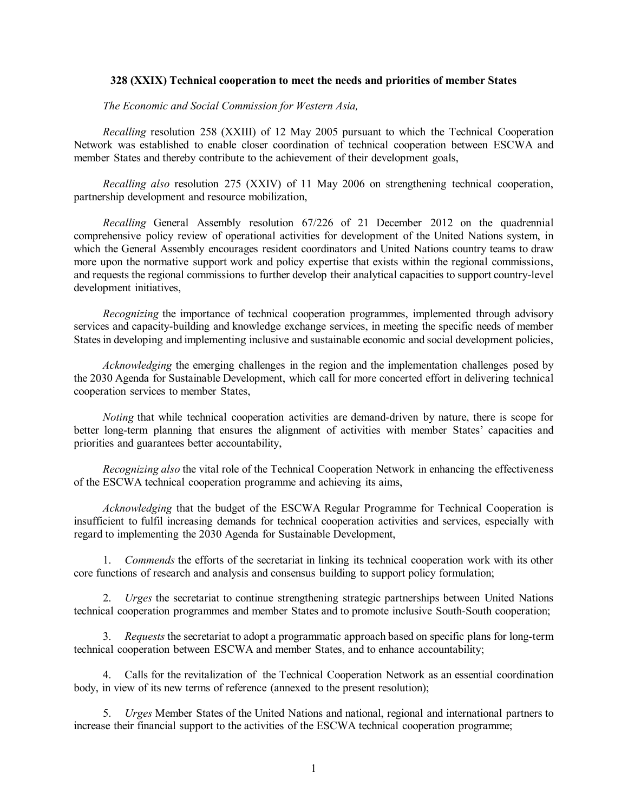#### **328 (XXIX) Technical cooperation to meet the needs and priorities of member States**

*The Economic and Social Commission for Western Asia,* 

*Recalling* resolution 258 (XXIII) of 12 May 2005 pursuant to which the Technical Cooperation Network was established to enable closer coordination of technical cooperation between ESCWA and member States and thereby contribute to the achievement of their development goals,

*Recalling also* resolution 275 (XXIV) of 11 May 2006 on strengthening technical cooperation, partnership development and resource mobilization,

 *Recalling* General Assembly resolution 67/226 of 21 December 2012 on the quadrennial comprehensive policy review of operational activities for development of the United Nations system, in which the General Assembly encourages resident coordinators and United Nations country teams to draw more upon the normative support work and policy expertise that exists within the regional commissions, and requests the regional commissions to further develop their analytical capacities to support country-level development initiatives,

 *Recognizing* the importance of technical cooperation programmes, implemented through advisory services and capacity-building and knowledge exchange services, in meeting the specific needs of member States in developing and implementing inclusive and sustainable economic and social development policies,

 *Acknowledging* the emerging challenges in the region and the implementation challenges posed by the 2030 Agenda for Sustainable Development, which call for more concerted effort in delivering technical cooperation services to member States,

 *Noting* that while technical cooperation activities are demand-driven by nature, there is scope for better long-term planning that ensures the alignment of activities with member States' capacities and priorities and guarantees better accountability,

 *Recognizing also* the vital role of the Technical Cooperation Network in enhancing the effectiveness of the ESCWA technical cooperation programme and achieving its aims,

 *Acknowledging* that the budget of the ESCWA Regular Programme for Technical Cooperation is insufficient to fulfil increasing demands for technical cooperation activities and services, especially with regard to implementing the 2030 Agenda for Sustainable Development,

1. *Commends* the efforts of the secretariat in linking its technical cooperation work with its other core functions of research and analysis and consensus building to support policy formulation;

2. *Urges* the secretariat to continue strengthening strategic partnerships between United Nations technical cooperation programmes and member States and to promote inclusive South-South cooperation;

3. *Requests* the secretariat to adopt a programmatic approach based on specific plans for long-term technical cooperation between ESCWA and member States, and to enhance accountability;

4. Calls for the revitalization of the Technical Cooperation Network as an essential coordination body, in view of its new terms of reference (annexed to the present resolution);

5. *Urges* Member States of the United Nations and national, regional and international partners to increase their financial support to the activities of the ESCWA technical cooperation programme;